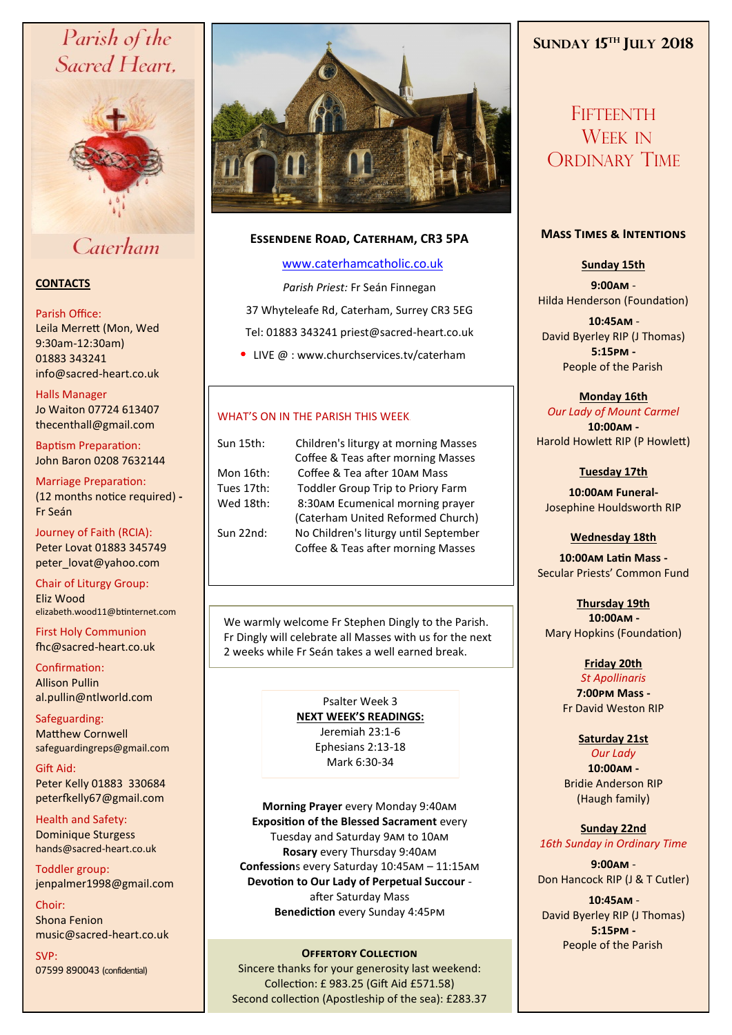# Parish of the Sacred Heart,



Caterham

# **CONTACTS**

#### Parish Office:

Leila Merrett (Mon, Wed 9:30am-12:30am) 01883 343241 info@sacred-heart.co.uk .

#### Halls Manager

Jo Waiton 07724 613407 thecenthall@gmail.com

Baptism Preparation: John Baron 0208 7632144

Marriage Preparation: (12 months notice required) **-** Fr Seán

Journey of Faith (RCIA): Peter Lovat 01883 345749 peter\_lovat@yahoo.com

Chair of Liturgy Group: Eliz Wood elizabeth.wood11@btinternet.com

First Holy Communion fhc@sacred-heart.co.uk

Confirmation: Allison Pullin al.pullin@ntlworld.com

Safeguarding: Matthew Cornwell safeguardingreps@gmail.com

Gift Aid: Peter Kelly 01883 330684 peterfkelly67@gmail.com

Health and Safety: Dominique Sturgess hands@sacred-heart.co.uk

Toddler group: jenpalmer1998@gmail.com

Choir: Shona Fenion music@sacred-heart.co.uk

SVP: 07599 890043 (confidential)



# **Essendene Road, Caterham, CR3 5PA**

# [www.caterhamcatholic.co.uk](http://Www.caterhamcatholic.co.uk)

*Parish Priest:* Fr Seán Finnegan 37 Whyteleafe Rd, Caterham, Surrey CR3 5EG Tel: 01883 343241 priest@sacred-heart.co.uk

• LIVE  $@:www.churchservices.tv/caterham$ 

# WHAT'S ON IN THE PARISH THIS WEEK.

Sun 15th: Children's liturgy at morning Masses

 Coffee & Teas after morning Masses Mon 16th: Coffee & Tea after 10am Mass Tues 17th: Toddler Group Trip to Priory Farm<br>Wed 18th: 8:30AM Fcumenical morning prave 8:30am Ecumenical morning prayer (Caterham United Reformed Church)<br>Sun 22nd: No Children's liturgy until September No Children's liturgy until September Coffee & Teas after morning Masses

We warmly welcome Fr Stephen Dingly to the Parish. Fr Dingly will celebrate all Masses with us for the next 2 weeks while Fr Seán takes a well earned break.

> Psalter Week 3 **NEXT WEEK'S READINGS:**  Jeremiah 23:1-6 Ephesians 2:13-18 Mark 6:30-34

**Morning Prayer** every Monday 9:40am **Exposition of the Blessed Sacrament** every Tuesday and Saturday 9am to 10am **Rosary** every Thursday 9:40am **Confession**s every Saturday 10:45am – 11:15am **Devotion to Our Lady of Perpetual Succour**  after Saturday Mass **Benediction** every Sunday 4:45pm

# **OFFERTORY COLLECTION**

Sincere thanks for your generosity last weekend: Collection: £ 983.25 (Gift Aid £571.58) Second collection (Apostleship of the sea): £283.37

# **SUNDAY 15TH JULY 2018**

**FIFTEENTH** WEEK IN ORDINARY TIME

#### **Mass Times & Intentions**

**Sunday 15th**

**9:00am** - Hilda Henderson (Foundation)

.**10:45am** - David Byerley RIP (J Thomas) **5:15pm -** People of the Parish.

**Monday 16th**  *Our Lady of Mount Carmel* **10:00am -** Harold Howlett RIP (P Howlett)

**Tuesday 17th** 

**10:00am Funeral-**Josephine Houldsworth RIP

**Wednesday 18th**

**10:00am Latin Mass -** Secular Priests' Common Fund

**Thursday 19th**  .**10:00am -** Mary Hopkins (Foundation)

> **Friday 20th**  *St Apollinaris*

**7:00pm Mass -** Fr David Weston RIP

**Saturday 21st**

*Our Lady* **10:00am -**  Bridie Anderson RIP (Haugh family)

**Sunday 22nd** *16th Sunday in Ordinary Time*

**9:00am** - Don Hancock RIP (J & T Cutler)

.**10:45am** - David Byerley RIP (J Thomas) **5:15pm -** People of the Parish.